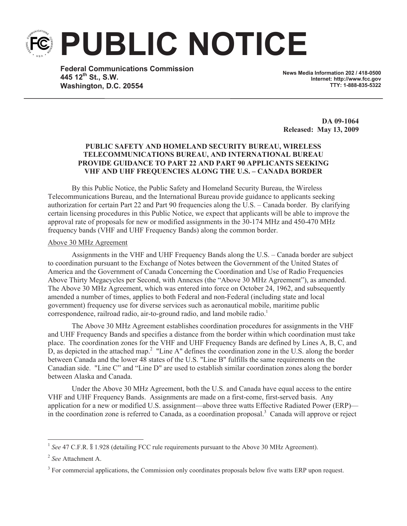**PUBLIC NOTICE**

**Federal Communications Commission 445 12th St., S.W. Washington, D.C. 20554**

**News Media Information 202 / 418-0500 Internet: http://www.fcc.gov TTY: 1-888-835-5322**

**DA 09-1064 Released: May 13, 2009**

## **PUBLIC SAFETY AND HOMELAND SECURITY BUREAU, WIRELESS TELECOMMUNICATIONS BUREAU, AND INTERNATIONAL BUREAU PROVIDE GUIDANCE TO PART 22 AND PART 90 APPLICANTS SEEKING VHF AND UHF FREQUENCIES ALONG THE U.S. – CANADA BORDER**

By this Public Notice, the Public Safety and Homeland Security Bureau, the Wireless Telecommunications Bureau, and the International Bureau provide guidance to applicants seeking authorization for certain Part 22 and Part 90 frequencies along the U.S. – Canada border. By clarifying certain licensing procedures in this Public Notice, we expect that applicants will be able to improve the approval rate of proposals for new or modified assignments in the 30-174 MHz and 450-470 MHz frequency bands (VHF and UHF Frequency Bands) along the common border.

#### Above 30 MHz Agreement

Assignments in the VHF and UHF Frequency Bands along the U.S. – Canada border are subject to coordination pursuant to the Exchange of Notes between the Government of the United States of America and the Government of Canada Concerning the Coordination and Use of Radio Frequencies Above Thirty Megacycles per Second, with Annexes (the "Above 30 MHz Agreement"), as amended. The Above 30 MHz Agreement, which was entered into force on October 24, 1962, and subsequently amended a number of times, applies to both Federal and non-Federal (including state and local government) frequency use for diverse services such as aeronautical mobile, maritime public correspondence, railroad radio, air-to-ground radio, and land mobile radio.<sup>1</sup>

The Above 30 MHz Agreement establishes coordination procedures for assignments in the VHF and UHF Frequency Bands and specifies a distance from the border within which coordination must take place. The coordination zones for the VHF and UHF Frequency Bands are defined by Lines A, B, C, and  $\overline{D}$ , as depicted in the attached map.<sup>2</sup> "Line A" defines the coordination zone in the U.S. along the border between Canada and the lower 48 states of the U.S. "Line B" fulfills the same requirements on the Canadian side. "Line C" and "Line D" are used to establish similar coordination zones along the border between Alaska and Canada.

Under the Above 30 MHz Agreement, both the U.S. and Canada have equal access to the entire VHF and UHF Frequency Bands. Assignments are made on a first-come, first-served basis. Any application for a new or modified U.S. assignment—above three watts Effective Radiated Power (ERP) in the coordination zone is referred to Canada, as a coordination proposal.<sup>3</sup> Canada will approve or reject

<sup>&</sup>lt;sup>1</sup> See 47 C.F.R. § 1.928 (detailing FCC rule requirements pursuant to the Above 30 MHz Agreement).

<sup>2</sup> *See* Attachment A.

 $3$  For commercial applications, the Commission only coordinates proposals below five watts ERP upon request.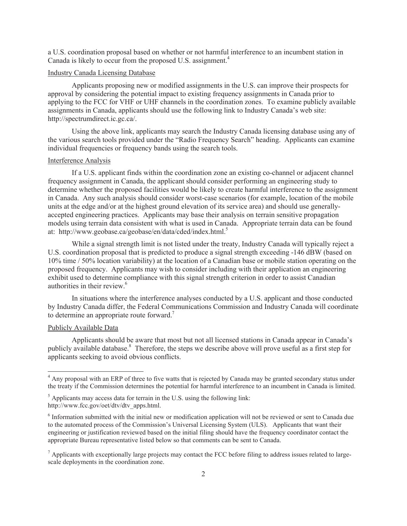a U.S. coordination proposal based on whether or not harmful interference to an incumbent station in Canada is likely to occur from the proposed U.S. assignment.<sup>4</sup>

## Industry Canada Licensing Database

Applicants proposing new or modified assignments in the U.S. can improve their prospects for approval by considering the potential impact to existing frequency assignments in Canada prior to applying to the FCC for VHF or UHF channels in the coordination zones. To examine publicly available assignments in Canada, applicants should use the following link to Industry Canada's web site: http://spectrumdirect.ic.gc.ca/.

Using the above link, applicants may search the Industry Canada licensing database using any of the various search tools provided under the "Radio Frequency Search" heading. Applicants can examine individual frequencies or frequency bands using the search tools.

### Interference Analysis

If a U.S. applicant finds within the coordination zone an existing co-channel or adjacent channel frequency assignment in Canada, the applicant should consider performing an engineering study to determine whether the proposed facilities would be likely to create harmful interference to the assignment in Canada. Any such analysis should consider worst-case scenarios (for example, location of the mobile units at the edge and/or at the highest ground elevation of its service area) and should use generallyaccepted engineering practices. Applicants may base their analysis on terrain sensitive propagation models using terrain data consistent with what is used in Canada. Appropriate terrain data can be found at: http://www.geobase.ca/geobase/en/data/cded/index.html.<sup>5</sup>

While a signal strength limit is not listed under the treaty, Industry Canada will typically reject a U.S. coordination proposal that is predicted to produce a signal strength exceeding -146 dBW (based on 10% time / 50% location variability) at the location of a Canadian base or mobile station operating on the proposed frequency. Applicants may wish to consider including with their application an engineering exhibit used to determine compliance with this signal strength criterion in order to assist Canadian authorities in their review.<sup>6</sup>

In situations where the interference analyses conducted by a U.S. applicant and those conducted by Industry Canada differ, the Federal Communications Commission and Industry Canada will coordinate to determine an appropriate route forward.<sup>7</sup>

#### Publicly Available Data

Applicants should be aware that most but not all licensed stations in Canada appear in Canada's publicly available database.<sup>8</sup> Therefore, the steps we describe above will prove useful as a first step for applicants seeking to avoid obvious conflicts.

<sup>&</sup>lt;sup>4</sup> Any proposal with an ERP of three to five watts that is rejected by Canada may be granted secondary status under the treaty if the Commission determines the potential for harmful interference to an incumbent in Canada is limited.

 $5$  Applicants may access data for terrain in the U.S. using the following link: http://www.fcc.gov/oet/dtv/dtv\_apps.html.

<sup>&</sup>lt;sup>6</sup> Information submitted with the initial new or modification application will not be reviewed or sent to Canada due to the automated process of the Commission's Universal Licensing System (ULS). Applicants that want their engineering or justification reviewed based on the initial filing should have the frequency coordinator contact the appropriate Bureau representative listed below so that comments can be sent to Canada.

 $<sup>7</sup>$  Applicants with exceptionally large projects may contact the FCC before filing to address issues related to large-</sup> scale deployments in the coordination zone.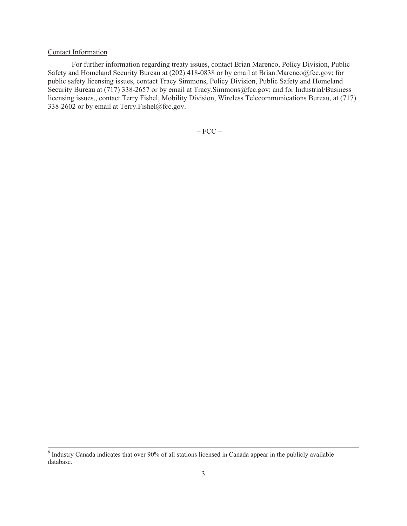# Contact Information

For further information regarding treaty issues, contact Brian Marenco, Policy Division, Public Safety and Homeland Security Bureau at (202) 418-0838 or by email at Brian.Marenco@fcc.gov; for public safety licensing issues, contact Tracy Simmons, Policy Division, Public Safety and Homeland Security Bureau at (717) 338-2657 or by email at Tracy. Simmons@fcc.gov; and for Industrial/Business licensing issues,, contact Terry Fishel, Mobility Division, Wireless Telecommunications Bureau, at (717) 338-2602 or by email at Terry.Fishel@fcc.gov.

 $-$  FCC  $-$ 

<sup>&</sup>lt;sup>8</sup> Industry Canada indicates that over 90% of all stations licensed in Canada appear in the publicly available database.